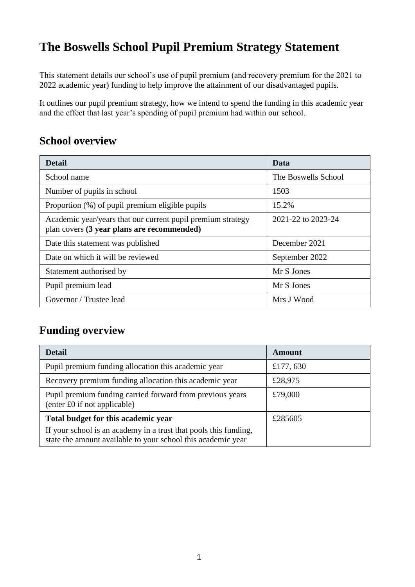# **The Boswells School Pupil Premium Strategy Statement**

This statement details our school's use of pupil premium (and recovery premium for the 2021 to 2022 academic year) funding to help improve the attainment of our disadvantaged pupils.

It outlines our pupil premium strategy, how we intend to spend the funding in this academic year and the effect that last year's spending of pupil premium had within our school.

## **School overview**

| <b>Detail</b>                                                                                             | Data                |
|-----------------------------------------------------------------------------------------------------------|---------------------|
| School name                                                                                               | The Boswells School |
| Number of pupils in school                                                                                | 1503                |
| Proportion (%) of pupil premium eligible pupils                                                           | 15.2%               |
| Academic year/years that our current pupil premium strategy<br>plan covers (3 year plans are recommended) | 2021-22 to 2023-24  |
| Date this statement was published                                                                         | December 2021       |
| Date on which it will be reviewed                                                                         | September 2022      |
| Statement authorised by                                                                                   | Mr S Jones          |
| Pupil premium lead                                                                                        | Mr S Jones          |
| Governor / Trustee lead                                                                                   | Mrs J Wood          |

## **Funding overview**

| <b>Detail</b>                                                                                                                    | Amount   |  |
|----------------------------------------------------------------------------------------------------------------------------------|----------|--|
| Pupil premium funding allocation this academic year                                                                              | £177,630 |  |
| Recovery premium funding allocation this academic year<br>£28,975                                                                |          |  |
| Pupil premium funding carried forward from previous years<br>(enter £0 if not applicable)                                        | £79,000  |  |
| Total budget for this academic year                                                                                              | £285605  |  |
| If your school is an academy in a trust that pools this funding,<br>state the amount available to your school this academic year |          |  |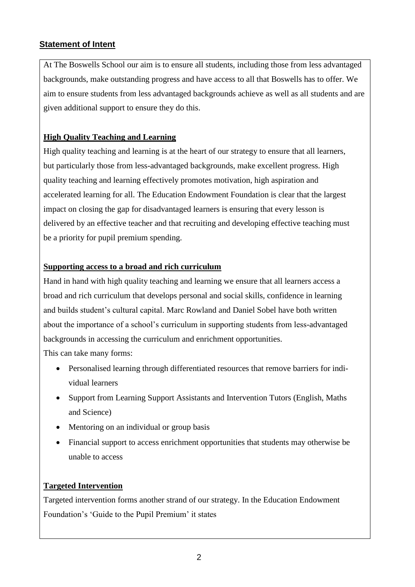### **Statement of Intent**

At The Boswells School our aim is to ensure all students, including those from less advantaged backgrounds, make outstanding progress and have access to all that Boswells has to offer. We aim to ensure students from less advantaged backgrounds achieve as well as all students and are given additional support to ensure they do this.

### **High Quality Teaching and Learning**

High quality teaching and learning is at the heart of our strategy to ensure that all learners, but particularly those from less-advantaged backgrounds, make excellent progress. High quality teaching and learning effectively promotes motivation, high aspiration and accelerated learning for all. The Education Endowment Foundation is clear that the largest impact on closing the gap for disadvantaged learners is ensuring that every lesson is delivered by an effective teacher and that recruiting and developing effective teaching must be a priority for pupil premium spending.

### **Supporting access to a broad and rich curriculum**

Hand in hand with high quality teaching and learning we ensure that all learners access a broad and rich curriculum that develops personal and social skills, confidence in learning and builds student's cultural capital. Marc Rowland and Daniel Sobel have both written about the importance of a school's curriculum in supporting students from less-advantaged backgrounds in accessing the curriculum and enrichment opportunities.

This can take many forms:

- Personalised learning through differentiated resources that remove barriers for individual learners
- Support from Learning Support Assistants and Intervention Tutors (English, Maths and Science)
- Mentoring on an individual or group basis
- Financial support to access enrichment opportunities that students may otherwise be unable to access

### **Targeted Intervention**

Targeted intervention forms another strand of our strategy. In the Education Endowment Foundation's 'Guide to the Pupil Premium' it states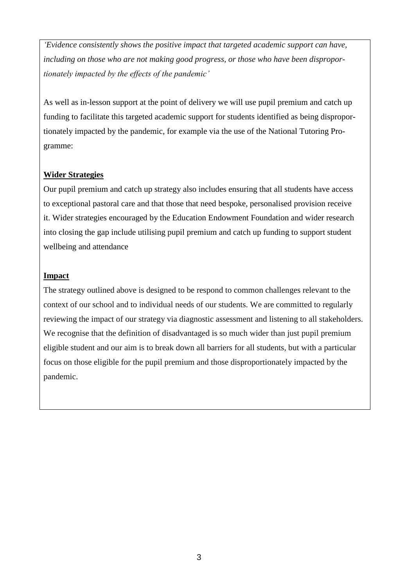*'Evidence consistently shows the positive impact that targeted academic support can have, including on those who are not making good progress, or those who have been disproportionately impacted by the effects of the pandemic'*

As well as in-lesson support at the point of delivery we will use pupil premium and catch up funding to facilitate this targeted academic support for students identified as being disproportionately impacted by the pandemic, for example via the use of the National Tutoring Programme:

#### **Wider Strategies**

Our pupil premium and catch up strategy also includes ensuring that all students have access to exceptional pastoral care and that those that need bespoke, personalised provision receive it. Wider strategies encouraged by the Education Endowment Foundation and wider research into closing the gap include utilising pupil premium and catch up funding to support student wellbeing and attendance

#### **Impact**

The strategy outlined above is designed to be respond to common challenges relevant to the context of our school and to individual needs of our students. We are committed to regularly reviewing the impact of our strategy via diagnostic assessment and listening to all stakeholders. We recognise that the definition of disadvantaged is so much wider than just pupil premium eligible student and our aim is to break down all barriers for all students, but with a particular focus on those eligible for the pupil premium and those disproportionately impacted by the pandemic.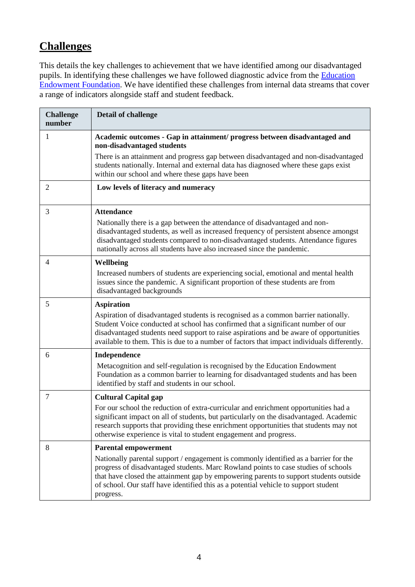## **Challenges**

This details the key challenges to achievement that we have identified among our disadvantaged pupils. In identifying these challenges we have followed diagnostic advice from the Education [Endowment Foundation.](https://d2tic4wvo1iusb.cloudfront.net/documents/guidanceForTeachers/EEF-Guide-to-the-Pupil-Premium-Autumn-2021.pdf) We have identified these challenges from internal data streams that cover a range of indicators alongside staff and student feedback.

| <b>Challenge</b><br>number | <b>Detail of challenge</b>                                                                                                                                                                                                                                                                                                                                                                             |
|----------------------------|--------------------------------------------------------------------------------------------------------------------------------------------------------------------------------------------------------------------------------------------------------------------------------------------------------------------------------------------------------------------------------------------------------|
| 1                          | Academic outcomes - Gap in attainment/ progress between disadvantaged and<br>non-disadvantaged students                                                                                                                                                                                                                                                                                                |
|                            | There is an attainment and progress gap between disadvantaged and non-disadvantaged<br>students nationally. Internal and external data has diagnosed where these gaps exist<br>within our school and where these gaps have been                                                                                                                                                                        |
| 2                          | Low levels of literacy and numeracy                                                                                                                                                                                                                                                                                                                                                                    |
| 3                          | <b>Attendance</b><br>Nationally there is a gap between the attendance of disadvantaged and non-<br>disadvantaged students, as well as increased frequency of persistent absence amongst<br>disadvantaged students compared to non-disadvantaged students. Attendance figures<br>nationally across all students have also increased since the pandemic.                                                 |
| 4                          | Wellbeing<br>Increased numbers of students are experiencing social, emotional and mental health<br>issues since the pandemic. A significant proportion of these students are from<br>disadvantaged backgrounds                                                                                                                                                                                         |
| 5                          | <b>Aspiration</b><br>Aspiration of disadvantaged students is recognised as a common barrier nationally.<br>Student Voice conducted at school has confirmed that a significant number of our<br>disadvantaged students need support to raise aspirations and be aware of opportunities<br>available to them. This is due to a number of factors that impact individuals differently.                    |
| 6                          | Independence<br>Metacognition and self-regulation is recognised by the Education Endowment<br>Foundation as a common barrier to learning for disadvantaged students and has been<br>identified by staff and students in our school.                                                                                                                                                                    |
| 7                          | <b>Cultural Capital gap</b><br>For our school the reduction of extra-curricular and enrichment opportunities had a<br>significant impact on all of students, but particularly on the disadvantaged. Academic<br>research supports that providing these enrichment opportunities that students may not<br>otherwise experience is vital to student engagement and progress.                             |
| 8                          | <b>Parental empowerment</b><br>Nationally parental support / engagement is commonly identified as a barrier for the<br>progress of disadvantaged students. Marc Rowland points to case studies of schools<br>that have closed the attainment gap by empowering parents to support students outside<br>of school. Our staff have identified this as a potential vehicle to support student<br>progress. |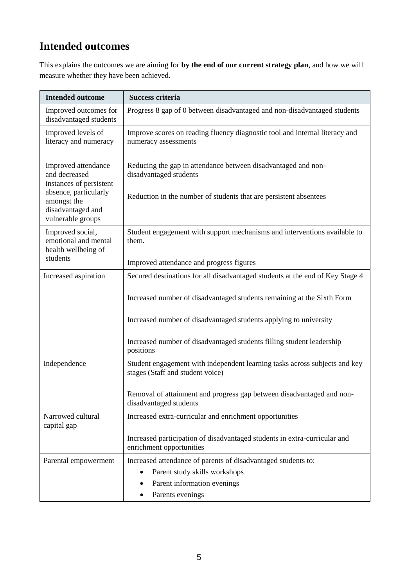# **Intended outcomes**

This explains the outcomes we are aiming for **by the end of our current strategy plan**, and how we will measure whether they have been achieved.

| <b>Intended outcome</b>                                                                                 | <b>Success criteria</b>                                                                                                                                      |  |
|---------------------------------------------------------------------------------------------------------|--------------------------------------------------------------------------------------------------------------------------------------------------------------|--|
| Improved outcomes for<br>disadvantaged students                                                         | Progress 8 gap of 0 between disadvantaged and non-disadvantaged students                                                                                     |  |
| Improved levels of<br>literacy and numeracy                                                             | Improve scores on reading fluency diagnostic tool and internal literacy and<br>numeracy assessments                                                          |  |
| Improved attendance<br>and decreased<br>instances of persistent<br>absence, particularly<br>amongst the | Reducing the gap in attendance between disadvantaged and non-<br>disadvantaged students<br>Reduction in the number of students that are persistent absentees |  |
| disadvantaged and<br>vulnerable groups                                                                  |                                                                                                                                                              |  |
| Improved social,<br>emotional and mental<br>health wellbeing of                                         | Student engagement with support mechanisms and interventions available to<br>them.                                                                           |  |
| students                                                                                                | Improved attendance and progress figures                                                                                                                     |  |
| Increased aspiration                                                                                    | Secured destinations for all disadvantaged students at the end of Key Stage 4                                                                                |  |
|                                                                                                         | Increased number of disadvantaged students remaining at the Sixth Form                                                                                       |  |
|                                                                                                         | Increased number of disadvantaged students applying to university                                                                                            |  |
|                                                                                                         | Increased number of disadvantaged students filling student leadership<br>positions                                                                           |  |
| Independence                                                                                            | Student engagement with independent learning tasks across subjects and key<br>stages (Staff and student voice)                                               |  |
|                                                                                                         | Removal of attainment and progress gap between disadvantaged and non-<br>disadvantaged students                                                              |  |
| Narrowed cultural<br>capital gap                                                                        | Increased extra-curricular and enrichment opportunities                                                                                                      |  |
|                                                                                                         | Increased participation of disadvantaged students in extra-curricular and<br>enrichment opportunities                                                        |  |
| Parental empowerment                                                                                    | Increased attendance of parents of disadvantaged students to:                                                                                                |  |
|                                                                                                         | Parent study skills workshops<br>$\bullet$                                                                                                                   |  |
|                                                                                                         | Parent information evenings                                                                                                                                  |  |
|                                                                                                         | Parents evenings                                                                                                                                             |  |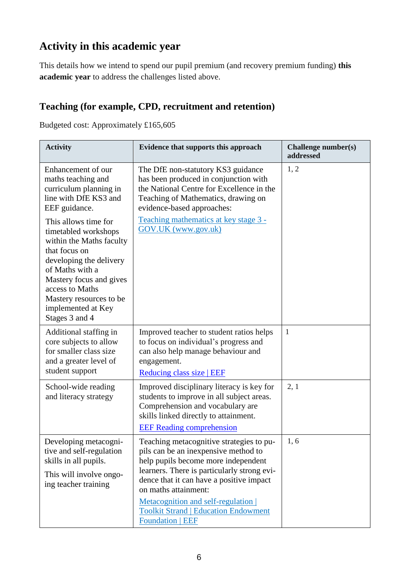## **Activity in this academic year**

This details how we intend to spend our pupil premium (and recovery premium funding) **this academic year** to address the challenges listed above.

## **Teaching (for example, CPD, recruitment and retention)**

Budgeted cost: Approximately £165,605

| <b>Activity</b>                                                                                                                                                                                                                                          | Evidence that supports this approach                                                                                                                                                                                                                                                                                                                      | Challenge number(s)<br>addressed |
|----------------------------------------------------------------------------------------------------------------------------------------------------------------------------------------------------------------------------------------------------------|-----------------------------------------------------------------------------------------------------------------------------------------------------------------------------------------------------------------------------------------------------------------------------------------------------------------------------------------------------------|----------------------------------|
| Enhancement of our<br>maths teaching and<br>curriculum planning in<br>line with DfE KS3 and<br>EEF guidance.                                                                                                                                             | The DfE non-statutory KS3 guidance<br>has been produced in conjunction with<br>the National Centre for Excellence in the<br>Teaching of Mathematics, drawing on<br>evidence-based approaches:                                                                                                                                                             | 1, 2                             |
| This allows time for<br>timetabled workshops<br>within the Maths faculty<br>that focus on<br>developing the delivery<br>of Maths with a<br>Mastery focus and gives<br>access to Maths<br>Mastery resources to be<br>implemented at Key<br>Stages 3 and 4 | Teaching mathematics at key stage 3 -<br>GOV.UK (www.gov.uk)                                                                                                                                                                                                                                                                                              |                                  |
| Additional staffing in<br>core subjects to allow<br>for smaller class size<br>and a greater level of<br>student support                                                                                                                                  | Improved teacher to student ratios helps<br>to focus on individual's progress and<br>can also help manage behaviour and<br>engagement.<br>Reducing class size   EEF                                                                                                                                                                                       | $\mathbf{1}$                     |
| School-wide reading<br>and literacy strategy                                                                                                                                                                                                             | Improved disciplinary literacy is key for<br>students to improve in all subject areas.<br>Comprehension and vocabulary are<br>skills linked directly to attainment.<br><b>EEF</b> Reading comprehension                                                                                                                                                   | 2, 1                             |
| Developing metacogni-<br>tive and self-regulation<br>skills in all pupils.<br>This will involve ongo-<br>ing teacher training                                                                                                                            | Teaching metacognitive strategies to pu-<br>pils can be an inexpensive method to<br>help pupils become more independent<br>learners. There is particularly strong evi-<br>dence that it can have a positive impact<br>on maths attainment:<br>Metacognition and self-regulation<br><b>Toolkit Strand   Education Endowment</b><br><b>Foundation   EEF</b> | 1, 6                             |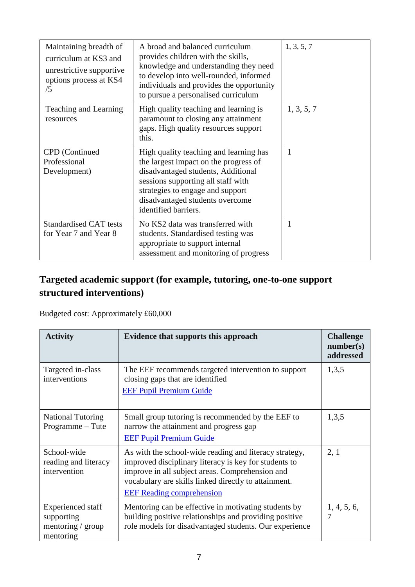| Maintaining breadth of<br>curriculum at KS3 and<br>unrestrictive supportive<br>options process at KS4<br>/5 | A broad and balanced curriculum<br>provides children with the skills,<br>knowledge and understanding they need<br>to develop into well-rounded, informed<br>individuals and provides the opportunity<br>to pursue a personalised curriculum                | 1, 3, 5, 7 |
|-------------------------------------------------------------------------------------------------------------|------------------------------------------------------------------------------------------------------------------------------------------------------------------------------------------------------------------------------------------------------------|------------|
| Teaching and Learning<br>resources                                                                          | High quality teaching and learning is<br>paramount to closing any attainment<br>gaps. High quality resources support<br>this.                                                                                                                              | 1, 3, 5, 7 |
| CPD (Continued<br>Professional<br>Development)                                                              | High quality teaching and learning has<br>the largest impact on the progress of<br>disadvantaged students, Additional<br>sessions supporting all staff with<br>strategies to engage and support<br>disadvantaged students overcome<br>identified barriers. | 1          |
| <b>Standardised CAT tests</b><br>for Year 7 and Year 8                                                      | No KS2 data was transferred with<br>students. Standardised testing was<br>appropriate to support internal<br>assessment and monitoring of progress                                                                                                         | 1          |

## **Targeted academic support (for example, tutoring, one-to-one support structured interventions)**

Budgeted cost: Approximately £60,000

| <b>Activity</b>                                                   | <b>Evidence that supports this approach</b>                                                                                                                                                                                                                    | <b>Challenge</b><br>number(s)<br>addressed |
|-------------------------------------------------------------------|----------------------------------------------------------------------------------------------------------------------------------------------------------------------------------------------------------------------------------------------------------------|--------------------------------------------|
| Targeted in-class<br>interventions                                | The EEF recommends targeted intervention to support<br>closing gaps that are identified<br><b>EEF Pupil Premium Guide</b>                                                                                                                                      | 1,3,5                                      |
| <b>National Tutoring</b><br>Programme – Tute                      | Small group tutoring is recommended by the EEF to<br>narrow the attainment and progress gap<br><b>EEF Pupil Premium Guide</b>                                                                                                                                  | 1,3,5                                      |
| School-wide<br>reading and literacy<br>intervention               | As with the school-wide reading and literacy strategy,<br>improved disciplinary literacy is key for students to<br>improve in all subject areas. Comprehension and<br>vocabulary are skills linked directly to attainment.<br><b>EEF</b> Reading comprehension | 2, 1                                       |
| Experienced staff<br>supporting<br>mentoring / group<br>mentoring | Mentoring can be effective in motivating students by<br>building positive relationships and providing positive<br>role models for disadvantaged students. Our experience                                                                                       | 1, 4, 5, 6,<br>7                           |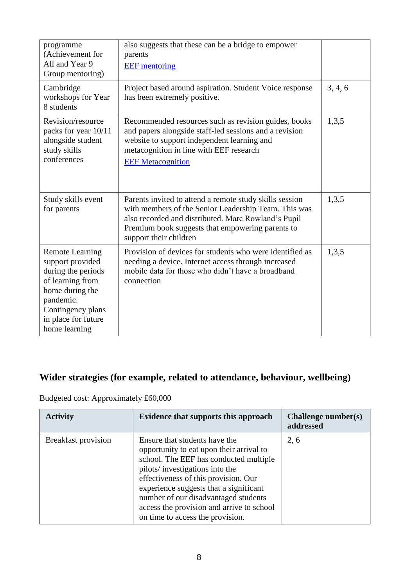| programme<br>(Achievement for<br>All and Year 9<br>Group mentoring)                                                                                                               | also suggests that these can be a bridge to empower<br>parents<br><b>EEF</b> mentoring                                                                                                                                                               |         |
|-----------------------------------------------------------------------------------------------------------------------------------------------------------------------------------|------------------------------------------------------------------------------------------------------------------------------------------------------------------------------------------------------------------------------------------------------|---------|
| Cambridge<br>workshops for Year<br>8 students                                                                                                                                     | Project based around aspiration. Student Voice response<br>has been extremely positive.                                                                                                                                                              | 3, 4, 6 |
| Revision/resource<br>packs for year 10/11<br>alongside student<br>study skills<br>conferences                                                                                     | Recommended resources such as revision guides, books<br>and papers alongside staff-led sessions and a revision<br>website to support independent learning and<br>metacognition in line with EEF research<br><b>EEF Metacognition</b>                 | 1,3,5   |
| Study skills event<br>for parents                                                                                                                                                 | Parents invited to attend a remote study skills session<br>with members of the Senior Leadership Team. This was<br>also recorded and distributed. Marc Rowland's Pupil<br>Premium book suggests that empowering parents to<br>support their children | 1,3,5   |
| <b>Remote Learning</b><br>support provided<br>during the periods<br>of learning from<br>home during the<br>pandemic.<br>Contingency plans<br>in place for future<br>home learning | Provision of devices for students who were identified as<br>needing a device. Internet access through increased<br>mobile data for those who didn't have a broadband<br>connection                                                                   | 1,3,5   |

## **Wider strategies (for example, related to attendance, behaviour, wellbeing)**

Budgeted cost: Approximately £60,000

| <b>Activity</b>            | Evidence that supports this approach                                                                                                                                                                                                                                                                                                                             | Challenge number(s)<br>addressed |
|----------------------------|------------------------------------------------------------------------------------------------------------------------------------------------------------------------------------------------------------------------------------------------------------------------------------------------------------------------------------------------------------------|----------------------------------|
| <b>Breakfast provision</b> | Ensure that students have the<br>opportunity to eat upon their arrival to<br>school. The EEF has conducted multiple<br>pilots/investigations into the<br>effectiveness of this provision. Our<br>experience suggests that a significant<br>number of our disadvantaged students<br>access the provision and arrive to school<br>on time to access the provision. | 2, 6                             |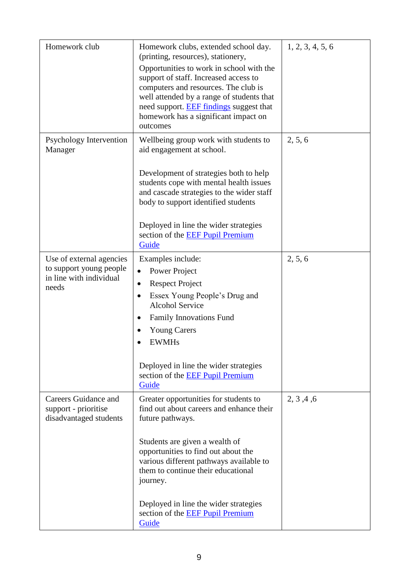| Homework club                                                                           | Homework clubs, extended school day.<br>(printing, resources), stationery,<br>Opportunities to work in school with the<br>support of staff. Increased access to<br>computers and resources. The club is<br>well attended by a range of students that<br>need support. <b>EEF</b> findings suggest that<br>homework has a significant impact on<br>outcomes               | 1, 2, 3, 4, 5, 6 |
|-----------------------------------------------------------------------------------------|--------------------------------------------------------------------------------------------------------------------------------------------------------------------------------------------------------------------------------------------------------------------------------------------------------------------------------------------------------------------------|------------------|
| Psychology Intervention<br>Manager                                                      | Wellbeing group work with students to<br>aid engagement at school.<br>Development of strategies both to help<br>students cope with mental health issues<br>and cascade strategies to the wider staff<br>body to support identified students<br>Deployed in line the wider strategies<br>section of the <b>EEF</b> Pupil Premium<br>Guide                                 | 2, 5, 6          |
| Use of external agencies<br>to support young people<br>in line with individual<br>needs | Examples include:<br>Power Project<br>$\bullet$<br><b>Respect Project</b><br>$\bullet$<br>Essex Young People's Drug and<br>$\bullet$<br><b>Alcohol Service</b><br><b>Family Innovations Fund</b><br>$\bullet$<br><b>Young Carers</b><br><b>EWMHs</b><br>Deployed in line the wider strategies<br>section of the EEF Pupil Premium<br>Guide                               | 2, 5, 6          |
| Careers Guidance and<br>support - prioritise<br>disadvantaged students                  | Greater opportunities for students to<br>find out about careers and enhance their<br>future pathways.<br>Students are given a wealth of<br>opportunities to find out about the<br>various different pathways available to<br>them to continue their educational<br>journey.<br>Deployed in line the wider strategies<br>section of the <b>EEF</b> Pupil Premium<br>Guide | 2, 3, 4, 6       |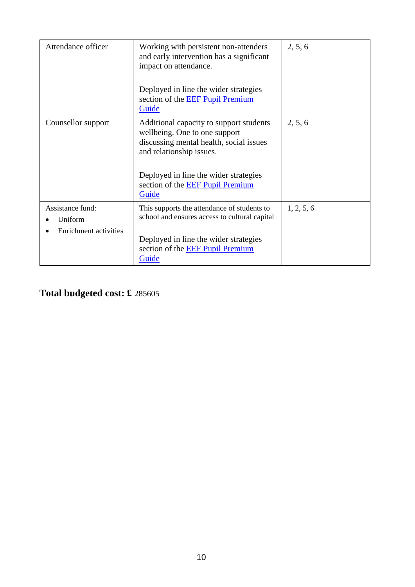| Attendance officer                                   | Working with persistent non-attenders<br>and early intervention has a significant<br>impact on attendance.<br>Deployed in line the wider strategies<br>section of the <b>EEF Pupil Premium</b><br>Guide                               | 2, 5, 6    |
|------------------------------------------------------|---------------------------------------------------------------------------------------------------------------------------------------------------------------------------------------------------------------------------------------|------------|
| Counsellor support                                   | Additional capacity to support students<br>wellbeing. One to one support<br>discussing mental health, social issues<br>and relationship issues.<br>Deployed in line the wider strategies<br>section of the EEF Pupil Premium<br>Guide | 2, 5, 6    |
| Assistance fund:<br>Uniform<br>Enrichment activities | This supports the attendance of students to<br>school and ensures access to cultural capital<br>Deployed in line the wider strategies<br>section of the EEF Pupil Premium<br>Guide                                                    | 1, 2, 5, 6 |

**Total budgeted cost: £** 285605